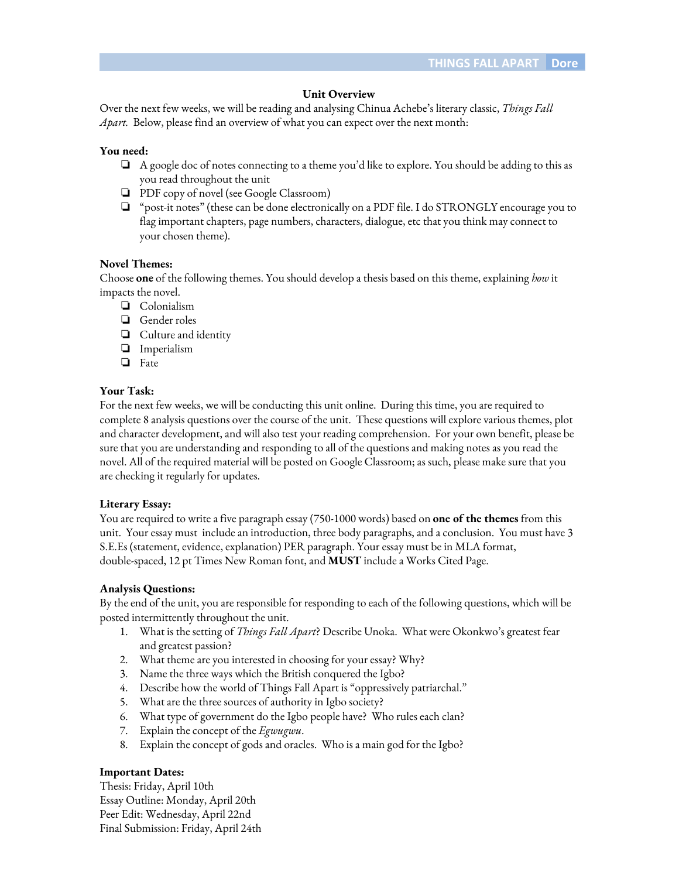## **Unit Overview**

Over the next few weeks, we will be reading and analysing Chinua Achebe's literary classic, *Things Fall Apart.* Below, please find an overview of what you can expect over the next month:

### **You need:**

- ❏ A google doc of notes connecting to a theme you'd like to explore. You should be adding to this as you read throughout the unit
- ❏ PDF copy of novel (see Google Classroom)
- ❏ "post-it notes" (these can be done electronically on a PDF file. I do STRONGLY encourage you to flag important chapters, page numbers, characters, dialogue, etc that you think may connect to your chosen theme).

#### **Novel Themes:**

Choose **one** of the following themes. You should develop a thesis based on this theme, explaining *how* it impacts the novel.

- ❏ Colonialism
- ❏ Gender roles
- ❏ Culture and identity
- ❏ Imperialism
- ❏ Fate

#### **Your Task:**

For the next few weeks, we will be conducting this unit online. During this time, you are required to complete 8 analysis questions over the course of the unit. These questions will explore various themes, plot and character development, and will also test your reading comprehension. For your own benefit, please be sure that you are understanding and responding to all of the questions and making notes as you read the novel. All of the required material will be posted on Google Classroom; as such, please make sure that you are checking it regularly for updates.

## **Literary Essay:**

You are required to write a five paragraph essay (750-1000 words) based on **one of the themes** from this unit. Your essay must include an introduction, three body paragraphs, and a conclusion. You must have 3 S.E.Es (statement, evidence, explanation) PER paragraph. Your essay must be in MLA format, double-spaced, 12 pt Times New Roman font, and **MUST** include a Works Cited Page.

#### **Analysis Questions:**

By the end of the unit, you are responsible for responding to each of the following questions, which will be posted intermittently throughout the unit.

- 1. What is the setting of *Things Fall Apart*? Describe Unoka. What were Okonkwo's greatest fear and greatest passion?
- 2. What theme are you interested in choosing for your essay? Why?
- 3. Name the three ways which the British conquered the Igbo?
- 4. Describe how the world of Things Fall Apart is "oppressively patriarchal."
- 5. What are the three sources of authority in Igbo society?
- 6. What type of government do the Igbo people have? Who rules each clan?
- 7. Explain the concept of the *Egwugwu*.
- 8. Explain the concept of gods and oracles. Who is a main god for the Igbo?

## **Important Dates:**

Thesis: Friday, April 10th Essay Outline: Monday, April 20th Peer Edit: Wednesday, April 22nd Final Submission: Friday, April 24th